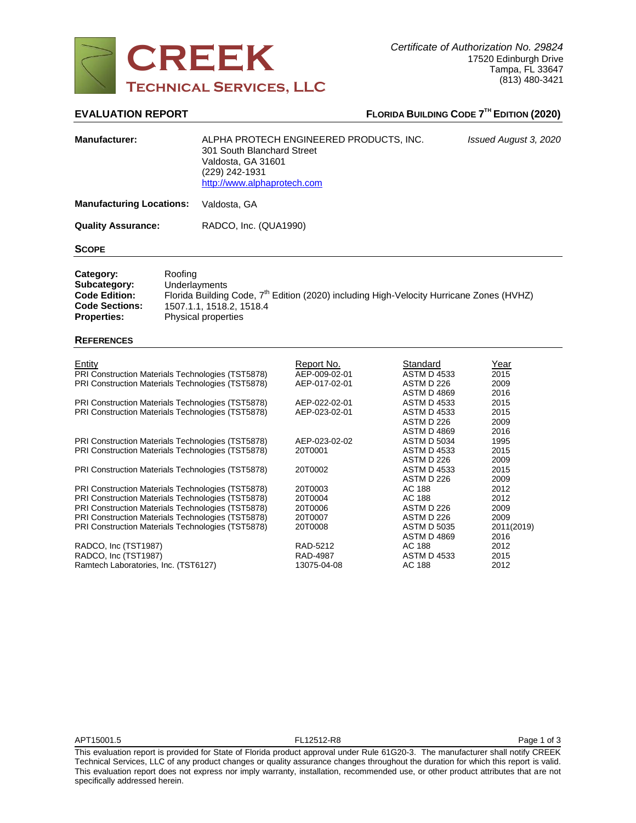

# **EVALUATION REPORT FLORIDA BUILDING CODE 7 TH EDITION (2020)**

| <b>Manufacturer:</b>                                                                             |                                                                                                                                                                                     | ALPHA PROTECH ENGINEERED PRODUCTS, INC.<br>301 South Blanchard Street<br>Valdosta. GA 31601<br>(229) 242-1931<br>http://www.alphaprotech.com | Issued August 3, 2020 |  |
|--------------------------------------------------------------------------------------------------|-------------------------------------------------------------------------------------------------------------------------------------------------------------------------------------|----------------------------------------------------------------------------------------------------------------------------------------------|-----------------------|--|
| <b>Manufacturing Locations:</b>                                                                  |                                                                                                                                                                                     | Valdosta, GA                                                                                                                                 |                       |  |
| <b>Quality Assurance:</b>                                                                        |                                                                                                                                                                                     | RADCO, Inc. (QUA1990)                                                                                                                        |                       |  |
| <b>SCOPE</b>                                                                                     |                                                                                                                                                                                     |                                                                                                                                              |                       |  |
| Category:<br>Subcategory:<br><b>Code Edition:</b><br><b>Code Sections:</b><br><b>Properties:</b> | Roofing<br>Underlayments<br>Florida Building Code, 7 <sup>th</sup> Edition (2020) including High-Velocity Hurricane Zones (HVHZ)<br>1507.1.1, 1518.2, 1518.4<br>Physical properties |                                                                                                                                              |                       |  |

| <b>REFERENCES</b> |
|-------------------|
|-------------------|

| Entity<br>PRI Construction Materials Technologies (TST5878) | Report No.<br>AEP-009-02-01 | Standard<br><b>ASTM D 4533</b>   | Year<br>2015 |
|-------------------------------------------------------------|-----------------------------|----------------------------------|--------------|
| PRI Construction Materials Technologies (TST5878)           | AEP-017-02-01               | ASTM D 226<br><b>ASTM D 4869</b> | 2009<br>2016 |
| PRI Construction Materials Technologies (TST5878)           | AEP-022-02-01               | <b>ASTM D 4533</b>               | 2015         |
| PRI Construction Materials Technologies (TST5878)           | AEP-023-02-01               | <b>ASTM D 4533</b>               | 2015         |
|                                                             |                             | ASTM D 226                       | 2009         |
|                                                             |                             | <b>ASTM D 4869</b>               | 2016         |
| PRI Construction Materials Technologies (TST5878)           | AEP-023-02-02               | <b>ASTM D 5034</b>               | 1995         |
| PRI Construction Materials Technologies (TST5878)           | 20T0001                     | <b>ASTM D 4533</b>               | 2015         |
|                                                             |                             | ASTM D 226                       | 2009         |
| PRI Construction Materials Technologies (TST5878)           | 20T0002                     | <b>ASTM D 4533</b>               | 2015         |
|                                                             |                             | ASTM D 226                       | 2009         |
| PRI Construction Materials Technologies (TST5878)           | 20T0003                     | AC 188                           | 2012         |
| PRI Construction Materials Technologies (TST5878)           | 20T0004                     | AC 188                           | 2012         |
| PRI Construction Materials Technologies (TST5878)           | 20T0006                     | ASTM D 226                       | 2009         |
| PRI Construction Materials Technologies (TST5878)           | 20T0007                     | ASTM D 226                       | 2009         |
| PRI Construction Materials Technologies (TST5878)           | 20T0008                     | <b>ASTM D 5035</b>               | 2011(2019)   |
|                                                             |                             | <b>ASTM D 4869</b>               | 2016         |
| RADCO, Inc (TST1987)                                        | RAD-5212                    | AC 188                           | 2012         |
| RADCO, Inc (TST1987)                                        | <b>RAD-4987</b>             | ASTM D 4533                      | 2015         |
| Ramtech Laboratories, Inc. (TST6127)                        | 13075-04-08                 | AC 188                           | 2012         |

This evaluation report is provided for State of Florida product approval under Rule 61G20-3. The manufacturer shall notify CREEK Technical Services, LLC of any product changes or quality assurance changes throughout the duration for which this report is valid. This evaluation report does not express nor imply warranty, installation, recommended use, or other product attributes that are not specifically addressed herein.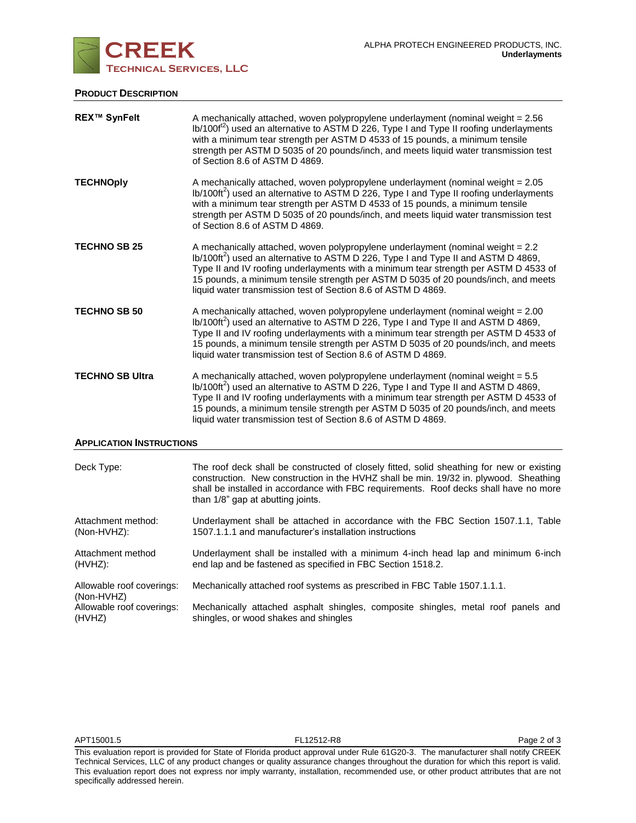

# **PRODUCT DESCRIPTION**

| <b>REX™ SynFelt</b>             | A mechanically attached, woven polypropylene underlayment (nominal weight = 2.56<br>lb/100f <sup>12</sup> ) used an alternative to ASTM D 226, Type I and Type II roofing underlayments<br>with a minimum tear strength per ASTM D 4533 of 15 pounds, a minimum tensile<br>strength per ASTM D 5035 of 20 pounds/inch, and meets liquid water transmission test<br>of Section 8.6 of ASTM D 4869.                                |  |
|---------------------------------|----------------------------------------------------------------------------------------------------------------------------------------------------------------------------------------------------------------------------------------------------------------------------------------------------------------------------------------------------------------------------------------------------------------------------------|--|
| <b>TECHNOply</b>                | A mechanically attached, woven polypropylene underlayment (nominal weight = 2.05<br>$lb/100ft^2$ ) used an alternative to ASTM D 226, Type I and Type II roofing underlayments<br>with a minimum tear strength per ASTM D 4533 of 15 pounds, a minimum tensile<br>strength per ASTM D 5035 of 20 pounds/inch, and meets liquid water transmission test<br>of Section 8.6 of ASTM D 4869.                                         |  |
| <b>TECHNO SB 25</b>             | A mechanically attached, woven polypropylene underlayment (nominal weight = 2.2<br>lb/100ft <sup>2</sup> ) used an alternative to ASTM D 226, Type I and Type II and ASTM D 4869,<br>Type II and IV roofing underlayments with a minimum tear strength per ASTM D 4533 of<br>15 pounds, a minimum tensile strength per ASTM D 5035 of 20 pounds/inch, and meets<br>liquid water transmission test of Section 8.6 of ASTM D 4869. |  |
| <b>TECHNO SB 50</b>             | A mechanically attached, woven polypropylene underlayment (nominal weight = 2.00<br>$lb/100ft^2$ ) used an alternative to ASTM D 226, Type I and Type II and ASTM D 4869,<br>Type II and IV roofing underlayments with a minimum tear strength per ASTM D 4533 of<br>15 pounds, a minimum tensile strength per ASTM D 5035 of 20 pounds/inch, and meets<br>liquid water transmission test of Section 8.6 of ASTM D 4869.         |  |
| <b>TECHNO SB Ultra</b>          | A mechanically attached, woven polypropylene underlayment (nominal weight = 5.5<br>lb/100ft <sup>2</sup> ) used an alternative to ASTM D 226, Type I and Type II and ASTM D 4869,<br>Type II and IV roofing underlayments with a minimum tear strength per ASTM D 4533 of<br>15 pounds, a minimum tensile strength per ASTM D 5035 of 20 pounds/inch, and meets<br>liquid water transmission test of Section 8.6 of ASTM D 4869. |  |
| <b>APPLICATION INSTRUCTIONS</b> |                                                                                                                                                                                                                                                                                                                                                                                                                                  |  |

| Deck Type:                              | The roof deck shall be constructed of closely fitted, solid sheathing for new or existing<br>construction. New construction in the HVHZ shall be min. 19/32 in. plywood. Sheathing<br>shall be installed in accordance with FBC requirements. Roof decks shall have no more<br>than 1/8" gap at abutting joints. |
|-----------------------------------------|------------------------------------------------------------------------------------------------------------------------------------------------------------------------------------------------------------------------------------------------------------------------------------------------------------------|
| Attachment method:                      | Underlayment shall be attached in accordance with the FBC Section 1507.1.1, Table                                                                                                                                                                                                                                |
| (Non-HVHZ):                             | 1507.1.1.1 and manufacturer's installation instructions                                                                                                                                                                                                                                                          |
| Attachment method                       | Underlayment shall be installed with a minimum 4-inch head lap and minimum 6-inch                                                                                                                                                                                                                                |
| (HVHZ):                                 | end lap and be fastened as specified in FBC Section 1518.2.                                                                                                                                                                                                                                                      |
| Allowable roof coverings:<br>(Non-HVHZ) | Mechanically attached roof systems as prescribed in FBC Table 1507.1.1.1.                                                                                                                                                                                                                                        |
| Allowable roof coverings:               | Mechanically attached asphalt shingles, composite shingles, metal roof panels and                                                                                                                                                                                                                                |
| (HVHZ)                                  | shingles, or wood shakes and shingles                                                                                                                                                                                                                                                                            |

This evaluation report is provided for State of Florida product approval under Rule 61G20-3. The manufacturer shall notify CREEK Technical Services, LLC of any product changes or quality assurance changes throughout the duration for which this report is valid. This evaluation report does not express nor imply warranty, installation, recommended use, or other product attributes that are not specifically addressed herein.